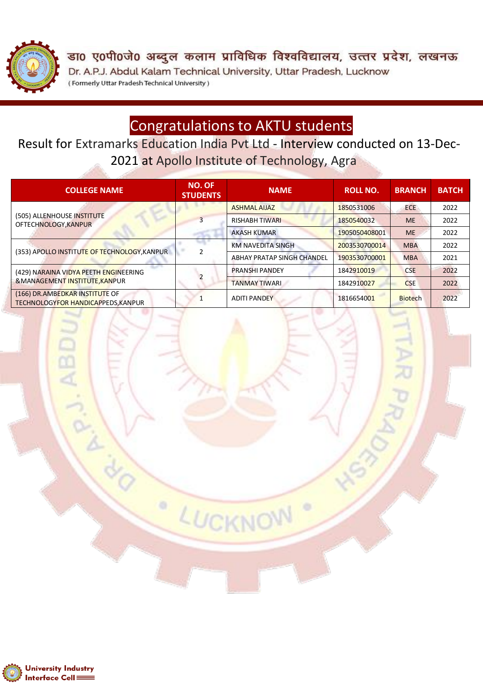

डा0 ए0पी0जे0 अब्दुल कलाम प्राविधिक विश्वविद्यालय, उत्तर प्रदेश, लखनऊ Dr. A.P.J. Abdul Kalam Technical University, Uttar Pradesh, Lucknow (Formerly Uttar Pradesh Technical University)

## Congratulations to AKTU students

Result for Extramarks Education India Pvt Ltd - Interview conducted on 13-Dec-2021 at Apollo Institute of Technology, Agra

| <b>COLLEGE NAME</b>                                                     | NO. OF<br><b>STUDENTS</b> | <b>NAME</b>                | <b>ROLL NO.</b> | <b>BRANCH</b>  | <b>BATCH</b> |
|-------------------------------------------------------------------------|---------------------------|----------------------------|-----------------|----------------|--------------|
| (505) ALLENHOUSE INSTITUTE<br>OFTECHNOLOGY, KANPUR                      | 3                         | <b>ASHMAL AIJAZ</b>        | 1850531006      | <b>ECE</b>     | 2022         |
|                                                                         |                           | <b>RISHABH TIWARI</b>      | 1850540032      | <b>ME</b>      | 2022         |
|                                                                         |                           | <b>AKASH KUMAR</b>         | 1905050408001   | <b>ME</b>      | 2022         |
| (353) APOLLO INSTITUTE OF TECHNOLOGY, KANPUR                            |                           | <b>KM NAVEDITA SINGH</b>   | 2003530700014   | <b>MBA</b>     | 2022         |
|                                                                         |                           | ABHAY PRATAP SINGH CHANDEL | 1903530700001   | <b>MBA</b>     | 2021         |
| (429) NARAINA VIDYA PEETH ENGINEERING<br>& MANAGEMENT INSTITUTE, KANPUR |                           | <b>PRANSHI PANDEY</b>      | 1842910019      | <b>CSE</b>     | 2022         |
|                                                                         |                           | <b>TANMAY TIWARI</b>       | 1842910027      | <b>CSE</b>     | 2022         |
| (166) DR.AMBEDKAR INSTITUTE OF<br>TECHNOLOGYFOR HANDICAPPEDS, KANPUR    |                           | <b>ADITI PANDEY</b>        | 1816654001      | <b>Biotech</b> | 2022         |

LUCKNO

۰

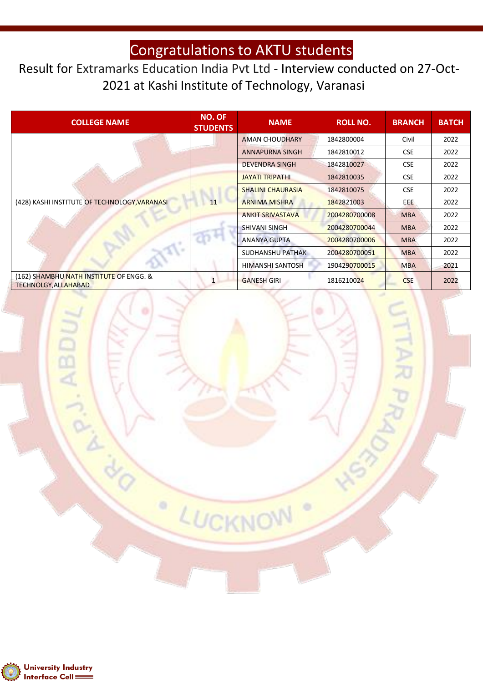## Congratulations to AKTU students

## Result for Extramarks Education India Pvt Ltd - Interview conducted on 27-Oct-2021 at Kashi Institute of Technology, Varanasi

| <b>COLLEGE NAME</b>                                                    | <b>NO. OF</b><br><b>STUDENTS</b> | <b>NAME</b>              | <b>ROLL NO.</b> | <b>BRANCH</b> | <b>BATCH</b> |
|------------------------------------------------------------------------|----------------------------------|--------------------------|-----------------|---------------|--------------|
| (428) KASHI INSTITUTE OF TECHNOLOGY, VARANASI                          |                                  | <b>AMAN CHOUDHARY</b>    | 1842800004      | Civil         | 2022         |
|                                                                        |                                  | <b>ANNAPURNA SINGH</b>   | 1842810012      | <b>CSE</b>    | 2022         |
|                                                                        |                                  | <b>DEVENDRA SINGH</b>    | 1842810027      | <b>CSE</b>    | 2022         |
|                                                                        | 11                               | <b>JAYATI TRIPATHI</b>   | 1842810035      | <b>CSE</b>    | 2022         |
|                                                                        |                                  | <b>SHALINI CHAURASIA</b> | 1842810075      | <b>CSE</b>    | 2022         |
|                                                                        |                                  | <b>ARNIMA MISHRA</b>     | 1842821003      | EEE.          | 2022         |
|                                                                        |                                  | <b>ANKIT SRIVASTAVA</b>  | 2004280700008   | <b>MBA</b>    | 2022         |
|                                                                        |                                  | SHIVANI SINGH            | 2004280700044   | <b>MBA</b>    | 2022         |
|                                                                        |                                  | <b>ANANYA GUPTA</b>      | 2004280700006   | <b>MBA</b>    | 2022         |
|                                                                        |                                  | <b>SUDHANSHU PATHAK</b>  | 2004280700051   | <b>MBA</b>    | 2022         |
|                                                                        |                                  | HIMANSHI SANTOSH         | 1904290700015   | <b>MBA</b>    | 2021         |
| (162) SHAMBHU NATH INSTITUTE OF ENGG. &<br><b>TECHNOLGY, ALLAHABAD</b> |                                  | <b>GANESH GIRI</b>       | 1816210024      | <b>CSE</b>    | 2022         |

LUCKNOW

۰



AB<sub>I</sub>